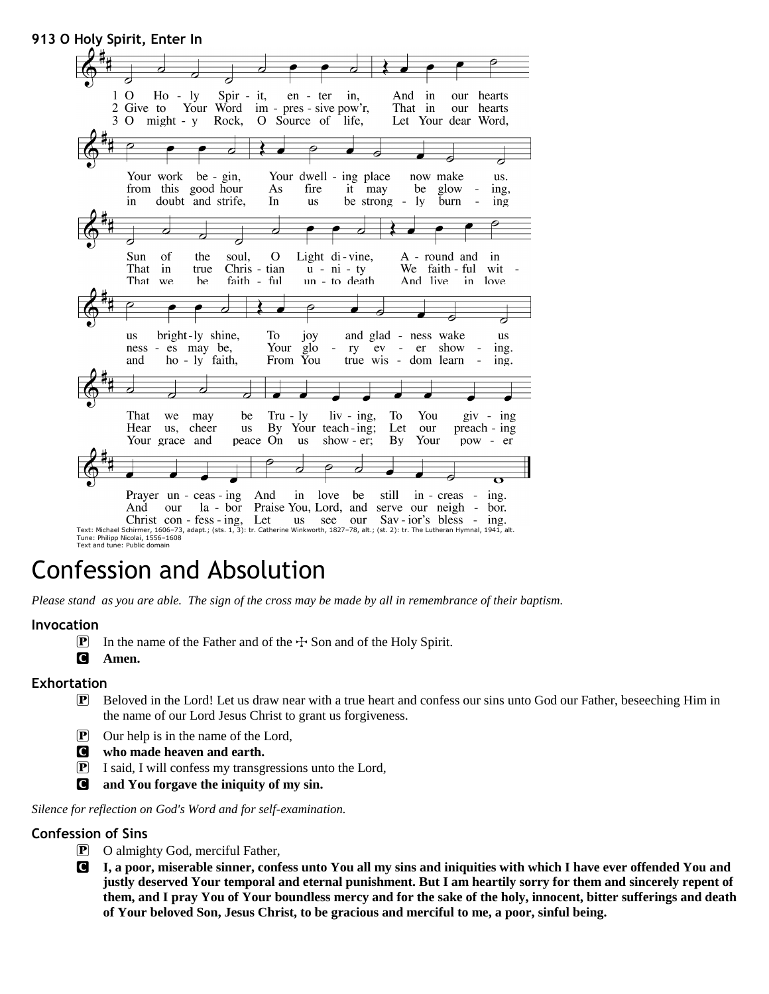**913 O Holy Spirit, Enter In**  $\Omega$ Spir -And Ho  $\overline{\phantom{a}}$  $1y$ it, en - ter in, in our hearts Your Word  $\overline{2}$ Give to im - pres - sive pow'r, That in our hearts 3 O  $might - y$ Rock, O Source of life, Let Your dear Word, Your work be -  $\sin$ , Your dwell ing place now make us. from this good hour As fire it may be glow ing, in doubt and strife, In us be strong  $\overline{a}$ ly burn  $\overline{a}$ ing  $\overline{\textbf{c}}$  $\overline{\phantom{a}}$  $\operatorname{Sun}$ of the soul,  $\mathbf O$ Light di-vine, A - round and in That in Chris - tian  $u - ni - ty$ We faith - ful true wit That faith - ful un - to death And live in love we be 6  $\overline{\phantom{a}}$ bright-ly shine, - ness wake To and glad 118 joy 118 glo ness es may be, Your ry  $ev$ er show  $\overline{\phantom{a}}$ ing. and ho - ly faith, From You true wis - dom learn  $\mathbb{Z}$ ing. That  $\operatorname{Tr}\! u$ **To** You we may be - ly  $\sin - \text{ing}$ ,  $giv - ing$ Your teach-ing; Hear us, cheer **us** By Let our preach - ing Your grace and peace On **us** show  $-$  er; **By** Your pow - er Prayer un  $ceas - ing$ And still in love be in - creas  $\overline{a}$ ing.  $la - b$ or And our Praise You, Lord, and serve our neigh  $\sim$ bor. Christ con - fess - ing, Let us see our  $Sav - ior's$  bless - ing. Text: Michael Schirmer, 1606–73, adapt.; (sts. 1, 3): tr. Catherine Winkworth, 1827–78, alt.; (st. 2): tr. The Lutheran Hymnal, 1941, alt. Tune: Philipp Nicolai, 1556–1608 Text and tune: Public domain

# Confession and Absolution

*Please stand as you are able. The sign of the cross may be made by all in remembrance of their baptism.*

#### **Invocation**

- **P** In the name of the Father and of the  $\pm$  Son and of the Holy Spirit.
- C **Amen.**

#### **Exhortation**

- P Beloved in the Lord! Let us draw near with a true heart and confess our sins unto God our Father, beseeching Him in the name of our Lord Jesus Christ to grant us forgiveness.
- $\boxed{\mathbf{P}}$  Our help is in the name of the Lord,
- C **who made heaven and earth.**
- P I said, I will confess my transgressions unto the Lord,
- C **and You forgave the iniquity of my sin.**

*Silence for reflection on God's Word and for self-examination.*

#### **Confession of Sins**

- P O almighty God, merciful Father,
- C **I, a poor, miserable sinner, confess unto You all my sins and iniquities with which I have ever offended You and justly deserved Your temporal and eternal punishment. But I am heartily sorry for them and sincerely repent of them, and I pray You of Your boundless mercy and for the sake of the holy, innocent, bitter sufferings and death of Your beloved Son, Jesus Christ, to be gracious and merciful to me, a poor, sinful being.**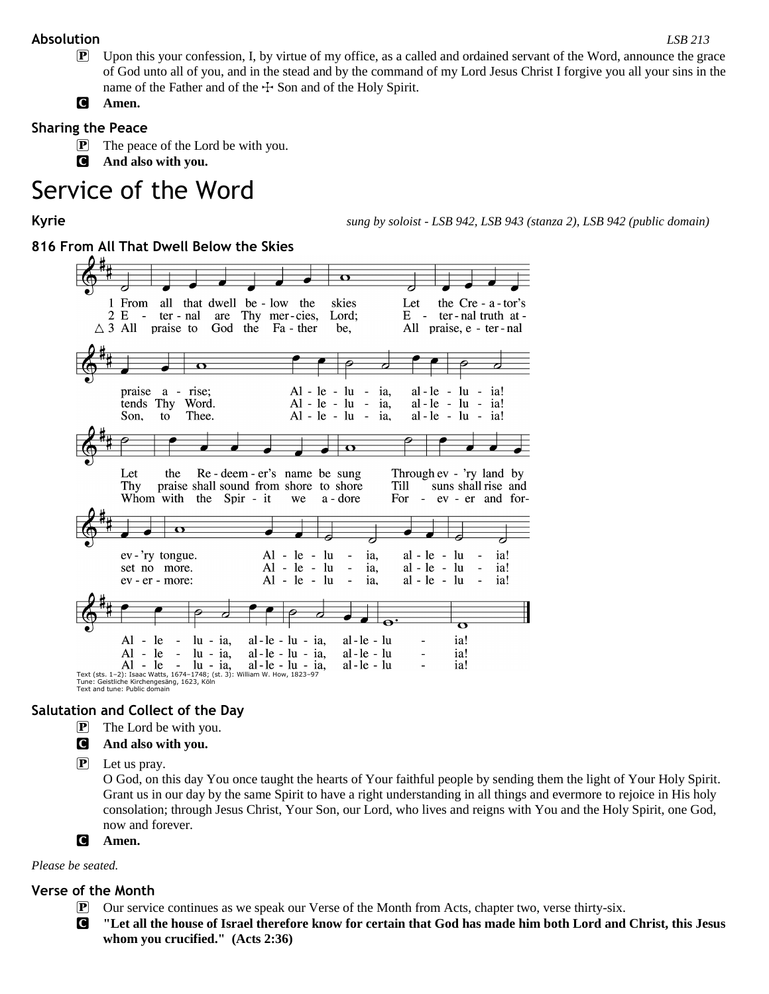## **Absolution** *LSB 213*

- P Upon this your confession, I, by virtue of my office, as a called and ordained servant of the Word, announce the grace of God unto all of you, and in the stead and by the command of my Lord Jesus Christ I forgive you all your sins in the name of the Father and of the  $\pm$  Son and of the Holy Spirit.
- C **Amen.**

# **Sharing the Peace**

- **P** The peace of the Lord be with you.
- C **And also with you.**

# Service of the Word

**Kyrie** *sung by soloist - LSB 942, LSB 943 (stanza 2), LSB 942 (public domain)*

# **816 From All That Dwell Below the Skies**



Tune: Geistliche Kirchengesäng, 1623, Köln Text and tune: Public domain

# **Salutation and Collect of the Day**

 $\mathbf{P}$  The Lord be with you.

#### C **And also with you.**

 $\left| \mathbf{P} \right|$  Let us pray.

O God, on this day You once taught the hearts of Your faithful people by sending them the light of Your Holy Spirit. Grant us in our day by the same Spirit to have a right understanding in all things and evermore to rejoice in His holy consolation; through Jesus Christ, Your Son, our Lord, who lives and reigns with You and the Holy Spirit, one God, now and forever.

#### C **Amen.**

#### *Please be seated.*

#### **Verse of the Month**

- P Our service continues as we speak our Verse of the Month from Acts, chapter two, verse thirty-six.
- C **"Let all the house of Israel therefore know for certain that God has made him both Lord and Christ, this Jesus whom you crucified." (Acts 2:36)**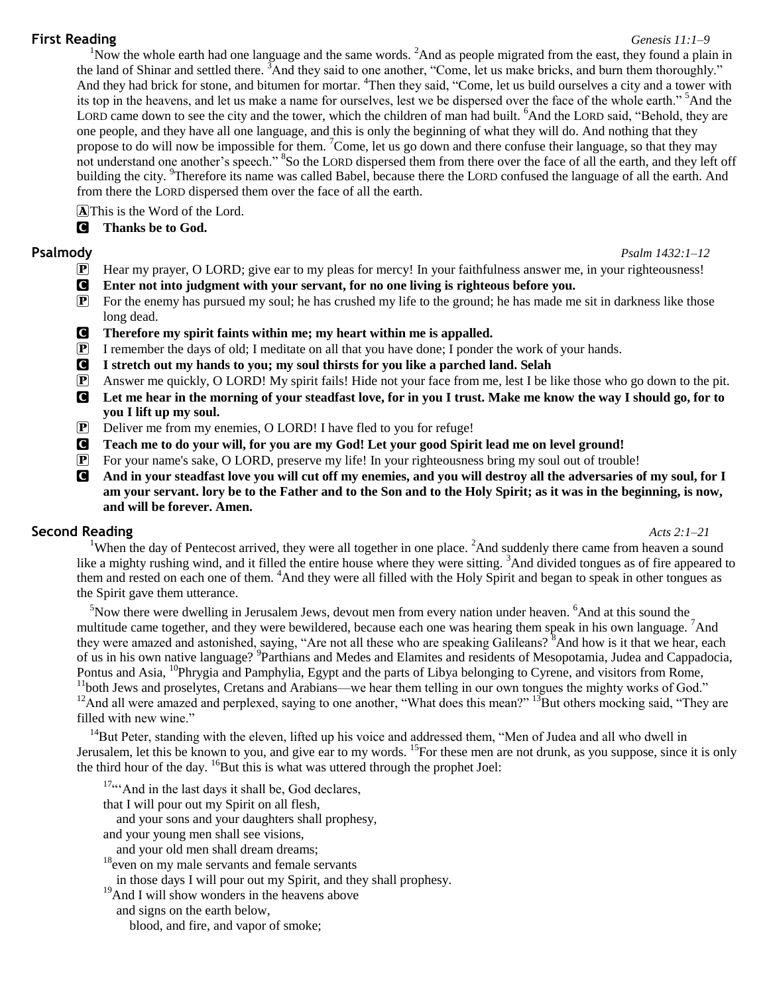### **First Reading** *Genesis 11:1–9*

<sup>1</sup>Now the whole earth had one language and the same words. <sup>2</sup>And as people migrated from the east, they found a plain in the land of Shinar and settled there. <sup>3</sup>And they said to one another, "Come, let us make bricks, and burn them thoroughly." And they had brick for stone, and bitumen for mortar. <sup>4</sup>Then they said, "Come, let us build ourselves a city and a tower with its top in the heavens, and let us make a name for ourselves, lest we be dispersed over the face of the whole earth." <sup>5</sup>And the LORD came down to see the city and the tower, which the children of man had built. <sup>6</sup>And the LORD said, "Behold, they are one people, and they have all one language, and this is only the beginning of what they will do. And nothing that they propose to do will now be impossible for them. <sup>7</sup>Come, let us go down and there confuse their language, so that they may not understand one another's speech." <sup>8</sup>So the LORD dispersed them from there over the face of all the earth, and they left off building the city. <sup>9</sup>Therefore its name was called Babel, because there the LORD confused the language of all the earth. And from there the LORD dispersed them over the face of all the earth.

AThis is the Word of the Lord.

C **Thanks be to God.**

# **Psalmody** *Psalm 1432:1–12*

- P Hear my prayer, O LORD; give ear to my pleas for mercy! In your faithfulness answer me, in your righteousness!
- C **Enter not into judgment with your servant, for no one living is righteous before you.**
- $\mathbb{P}$  For the enemy has pursued my soul; he has crushed my life to the ground; he has made me sit in darkness like those long dead.
- C **Therefore my spirit faints within me; my heart within me is appalled.**
- $\mathbb{P}$  I remember the days of old; I meditate on all that you have done; I ponder the work of your hands.
- C **I stretch out my hands to you; my soul thirsts for you like a parched land. Selah**
- P Answer me quickly, O LORD! My spirit fails! Hide not your face from me, lest I be like those who go down to the pit.
- C **Let me hear in the morning of your steadfast love, for in you I trust. Make me know the way I should go, for to you I lift up my soul.**
- P Deliver me from my enemies, O LORD! I have fled to you for refuge!
- C **Teach me to do your will, for you are my God! Let your good Spirit lead me on level ground!**
- P For your name's sake, O LORD, preserve my life! In your righteousness bring my soul out of trouble!
- C **And in your steadfast love you will cut off my enemies, and you will destroy all the adversaries of my soul, for I am your servant. lory be to the Father and to the Son and to the Holy Spirit; as it was in the beginning, is now, and will be forever. Amen.**

# **Second Reading** *Acts 2:1–21*

<sup>1</sup>When the day of Pentecost arrived, they were all together in one place. <sup>2</sup>And suddenly there came from heaven a sound like a mighty rushing wind, and it filled the entire house where they were sitting. <sup>3</sup>And divided tongues as of fire appeared to them and rested on each one of them. <sup>4</sup>And they were all filled with the Holy Spirit and began to speak in other tongues as the Spirit gave them utterance.

 $5$ Now there were dwelling in Jerusalem Jews, devout men from every nation under heaven.  $6$ And at this sound the multitude came together, and they were bewildered, because each one was hearing them speak in his own language. <sup>7</sup>And they were amazed and astonished, saying, "Are not all these who are speaking Galileans? <sup>8</sup>And how is it that we hear, each of us in his own native language? <sup>9</sup>Parthians and Medes and Elamites and residents of Mesopotamia, Judea and Cappadocia, Pontus and Asia, <sup>10</sup>Phrygia and Pamphylia, Egypt and the parts of Libya belonging to Cyrene, and visitors from Rome, <sup>11</sup>both Jews and proselytes, Cretans and Arabians—we hear them telling in our own tongues the mighty works of God." <sup>12</sup>And all were amazed and perplexed, saying to one another, "What does this mean?" <sup>13</sup>But others mocking said, "They are filled with new wine."

 $14$ But Peter, standing with the eleven, lifted up his voice and addressed them, "Men of Judea and all who dwell in Jerusalem, let this be known to you, and give ear to my words. <sup>15</sup>For these men are not drunk, as you suppose, since it is only the third hour of the day. <sup>16</sup>But this is what was uttered through the prophet Joel:

 $17...$  And in the last days it shall be, God declares,

that I will pour out my Spirit on all flesh,

and your sons and your daughters shall prophesy,

and your young men shall see visions,

and your old men shall dream dreams;

<sup>18</sup> even on my male servants and female servants

in those days I will pour out my Spirit, and they shall prophesy.

<sup>19</sup>And I will show wonders in the heavens above

and signs on the earth below,

blood, and fire, and vapor of smoke;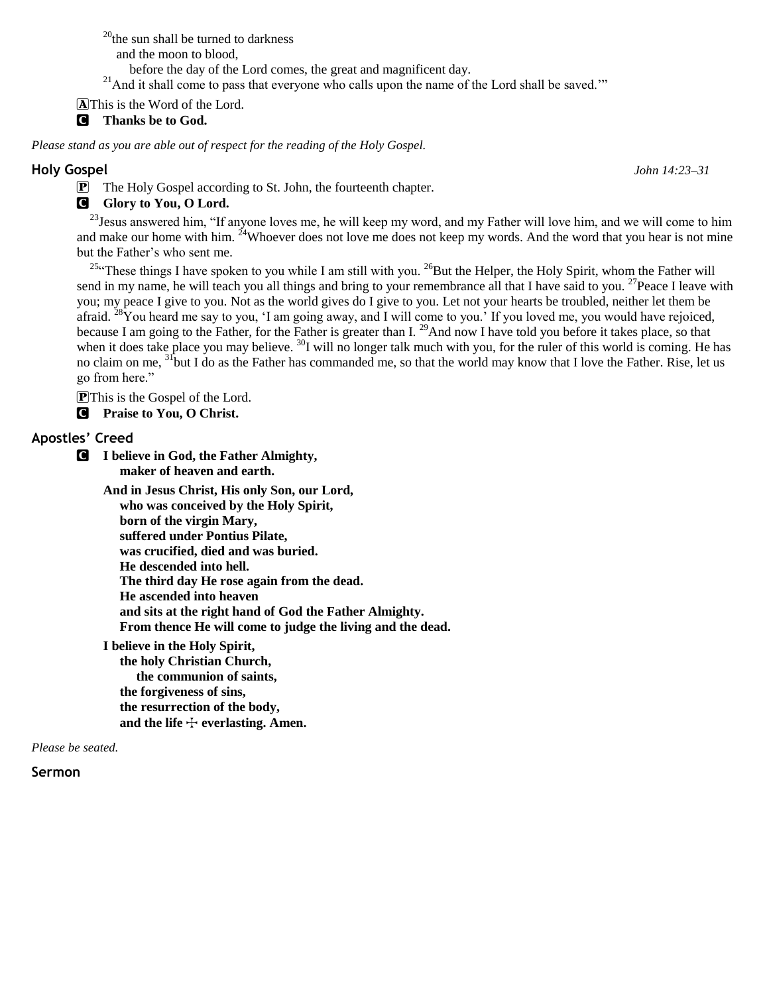$^{20}$ the sun shall be turned to darkness and the moon to blood, before the day of the Lord comes, the great and magnificent day. <sup>21</sup>And it shall come to pass that everyone who calls upon the name of the Lord shall be saved.""

AThis is the Word of the Lord.

C **Thanks be to God.**

*Please stand as you are able out of respect for the reading of the Holy Gospel.*

#### **Holy Gospel** *John 14:23–31*

P The Holy Gospel according to St. John, the fourteenth chapter.

# **G** Glory to You, O Lord.

<sup>23</sup> Jesus answered him, "If anyone loves me, he will keep my word, and my Father will love him, and we will come to him and make our home with him. <sup>24</sup>Whoever does not love me does not keep my words. And the word that you hear is not mine but the Father's who sent me.

 $^{25}$ "These things I have spoken to you while I am still with you.  $^{26}$ But the Helper, the Holy Spirit, whom the Father will send in my name, he will teach you all things and bring to your remembrance all that I have said to you. <sup>27</sup>Peace I leave with you; my peace I give to you. Not as the world gives do I give to you. Let not your hearts be troubled, neither let them be afraid.  $28$ You heard me say to you, 'I am going away, and I will come to you.' If you loved me, you would have rejoiced, because I am going to the Father, for the Father is greater than I. <sup>29</sup>And now I have told you before it takes place, so that when it does take place you may believe. <sup>30</sup>I will no longer talk much with you, for the ruler of this world is coming. He has no claim on me, <sup>31</sup>but I do as the Father has commanded me, so that the world may know that I love the Father. Rise, let us go from here."

PThis is the Gospel of the Lord.

C **Praise to You, O Christ.**

## **Apostles' Creed**

C **I believe in God, the Father Almighty, maker of heaven and earth.**

> **And in Jesus Christ, His only Son, our Lord, who was conceived by the Holy Spirit, born of the virgin Mary, suffered under Pontius Pilate, was crucified, died and was buried. He descended into hell. The third day He rose again from the dead. He ascended into heaven and sits at the right hand of God the Father Almighty. From thence He will come to judge the living and the dead.**

**I believe in the Holy Spirit, the holy Christian Church, the communion of saints, the forgiveness of sins, the resurrection of the body,** and the life  $\div$  everlasting. Amen.

*Please be seated.*

### **Sermon**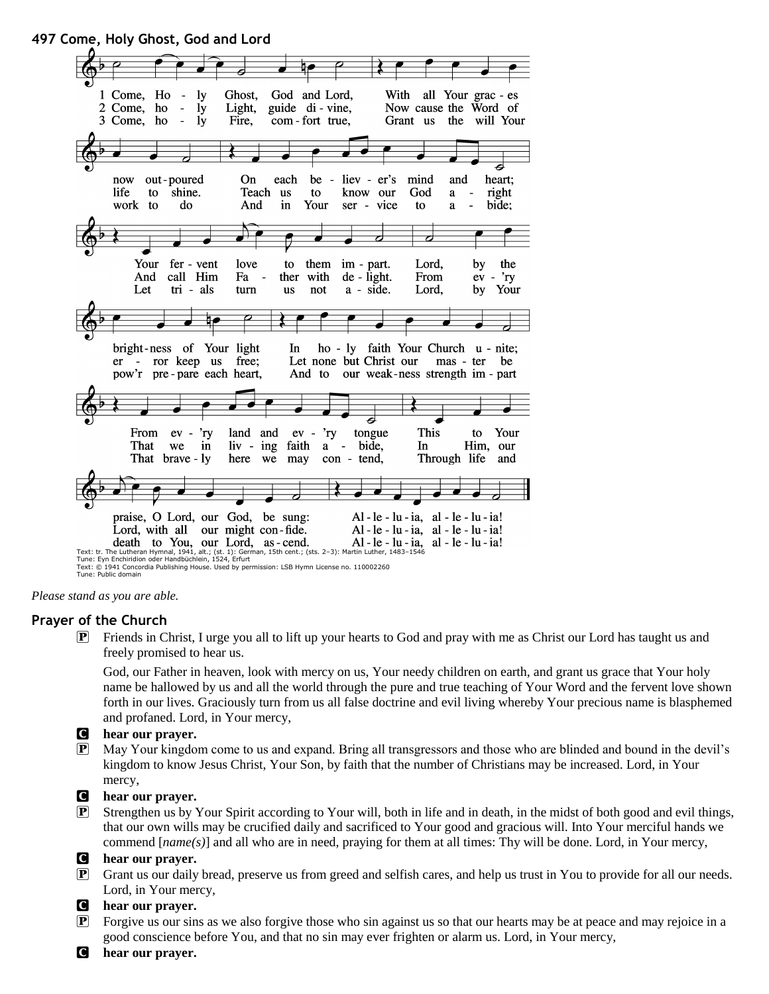



#### **Prayer of the Church**

P Friends in Christ, I urge you all to lift up your hearts to God and pray with me as Christ our Lord has taught us and freely promised to hear us.

God, our Father in heaven, look with mercy on us, Your needy children on earth, and grant us grace that Your holy name be hallowed by us and all the world through the pure and true teaching of Your Word and the fervent love shown forth in our lives. Graciously turn from us all false doctrine and evil living whereby Your precious name is blasphemed and profaned. Lord, in Your mercy,

#### C **hear our prayer.**

P May Your kingdom come to us and expand. Bring all transgressors and those who are blinded and bound in the devil's kingdom to know Jesus Christ, Your Son, by faith that the number of Christians may be increased. Lord, in Your mercy,

#### C **hear our prayer.**

 $\mathbf{P}$  Strengthen us by Your Spirit according to Your will, both in life and in death, in the midst of both good and evil things, that our own wills may be crucified daily and sacrificed to Your good and gracious will. Into Your merciful hands we commend [*name(s)*] and all who are in need, praying for them at all times: Thy will be done. Lord, in Your mercy,

#### C **hear our prayer.**

- P Grant us our daily bread, preserve us from greed and selfish cares, and help us trust in You to provide for all our needs. Lord, in Your mercy,
- C **hear our prayer.**
- P Forgive us our sins as we also forgive those who sin against us so that our hearts may be at peace and may rejoice in a good conscience before You, and that no sin may ever frighten or alarm us. Lord, in Your mercy,
- C **hear our prayer.**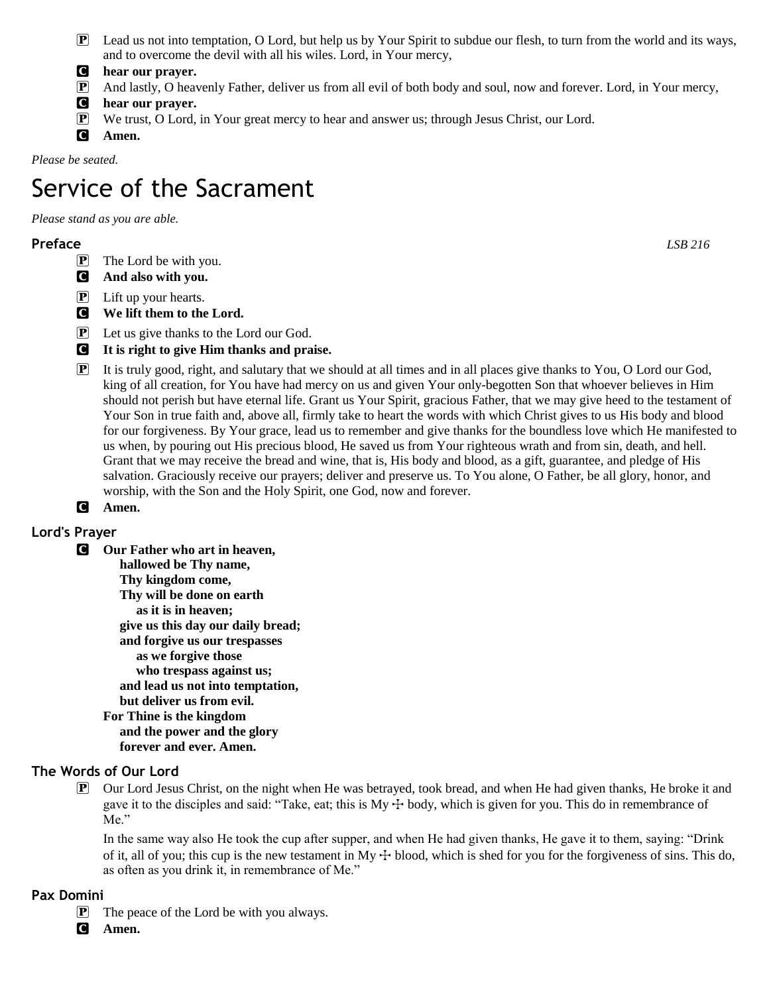- $\mathbf{P}$  Lead us not into temptation, O Lord, but help us by Your Spirit to subdue our flesh, to turn from the world and its ways, and to overcome the devil with all his wiles. Lord, in Your mercy,
- C **hear our prayer.**
- P And lastly, O heavenly Father, deliver us from all evil of both body and soul, now and forever. Lord, in Your mercy,
- C **hear our prayer.**
- P We trust, O Lord, in Your great mercy to hear and answer us; through Jesus Christ, our Lord.
- C **Amen.**

*Please be seated.*

# Service of the Sacrament

*Please stand as you are able.*

# **Preface** *LSB 216*

- **P** The Lord be with you.
- C **And also with you.**
- P Lift up your hearts.
- C **We lift them to the Lord.**
- P Let us give thanks to the Lord our God.
- C **It is right to give Him thanks and praise.**
- P It is truly good, right, and salutary that we should at all times and in all places give thanks to You, O Lord our God, king of all creation, for You have had mercy on us and given Your only-begotten Son that whoever believes in Him should not perish but have eternal life. Grant us Your Spirit, gracious Father, that we may give heed to the testament of Your Son in true faith and, above all, firmly take to heart the words with which Christ gives to us His body and blood for our forgiveness. By Your grace, lead us to remember and give thanks for the boundless love which He manifested to us when, by pouring out His precious blood, He saved us from Your righteous wrath and from sin, death, and hell. Grant that we may receive the bread and wine, that is, His body and blood, as a gift, guarantee, and pledge of His salvation. Graciously receive our prayers; deliver and preserve us. To You alone, O Father, be all glory, honor, and worship, with the Son and the Holy Spirit, one God, now and forever.

# C **Amen.**

# **Lord's Prayer**

C **Our Father who art in heaven, hallowed be Thy name, Thy kingdom come, Thy will be done on earth as it is in heaven; give us this day our daily bread; and forgive us our trespasses as we forgive those who trespass against us; and lead us not into temptation, but deliver us from evil. For Thine is the kingdom and the power and the glory forever and ever. Amen.**

# **The Words of Our Lord**

P Our Lord Jesus Christ, on the night when He was betrayed, took bread, and when He had given thanks, He broke it and gave it to the disciples and said: "Take, eat; this is  $My + body$ , which is given for you. This do in remembrance of Me."

In the same way also He took the cup after supper, and when He had given thanks, He gave it to them, saying: "Drink of it, all of you; this cup is the new testament in My  $+$  blood, which is shed for you for the forgiveness of sins. This do, as often as you drink it, in remembrance of Me."

### **Pax Domini**

- P The peace of the Lord be with you always.
- C **Amen.**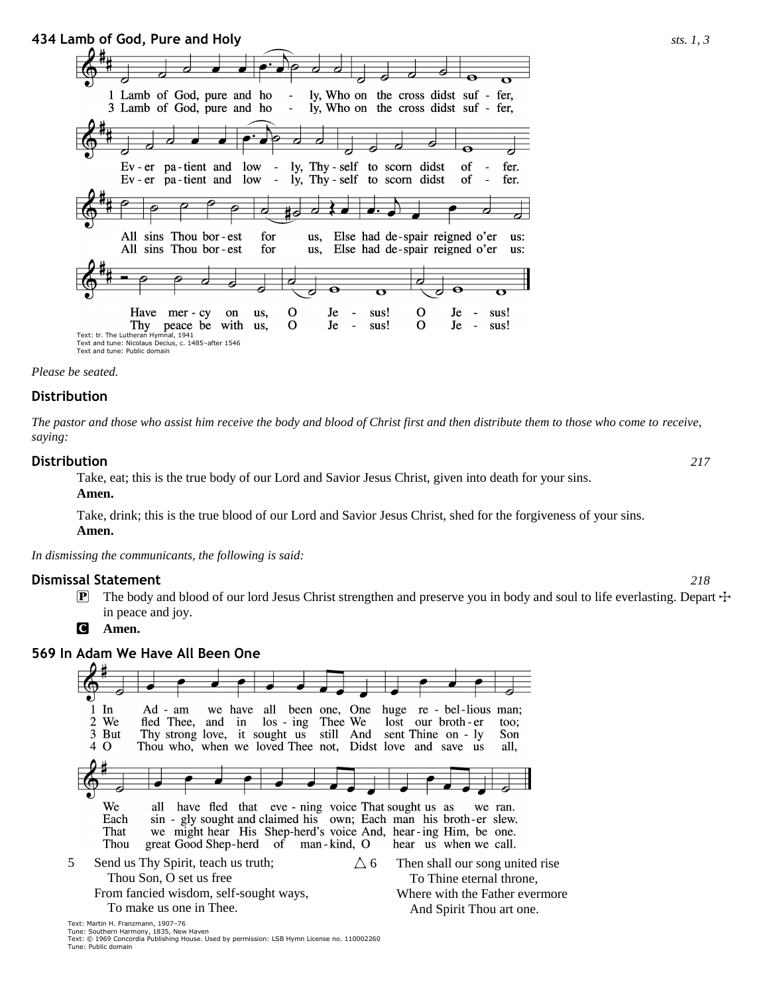

*Please be seated.*

#### **Distribution**

*The pastor and those who assist him receive the body and blood of Christ first and then distribute them to those who come to receive, saying:*

#### **Distribution** *217*

Take, eat; this is the true body of our Lord and Savior Jesus Christ, given into death for your sins.

**Amen.**

Take, drink; this is the true blood of our Lord and Savior Jesus Christ, shed for the forgiveness of your sins.

**Amen.**

*In dismissing the communicants, the following is said:*

#### **Dismissal Statement** *218*

**P** The body and blood of our lord Jesus Christ strengthen and preserve you in body and soul to life everlasting. Depart  $\pm$ in peace and joy.

C **Amen.**

# **569 In Adam We Have All Been One**

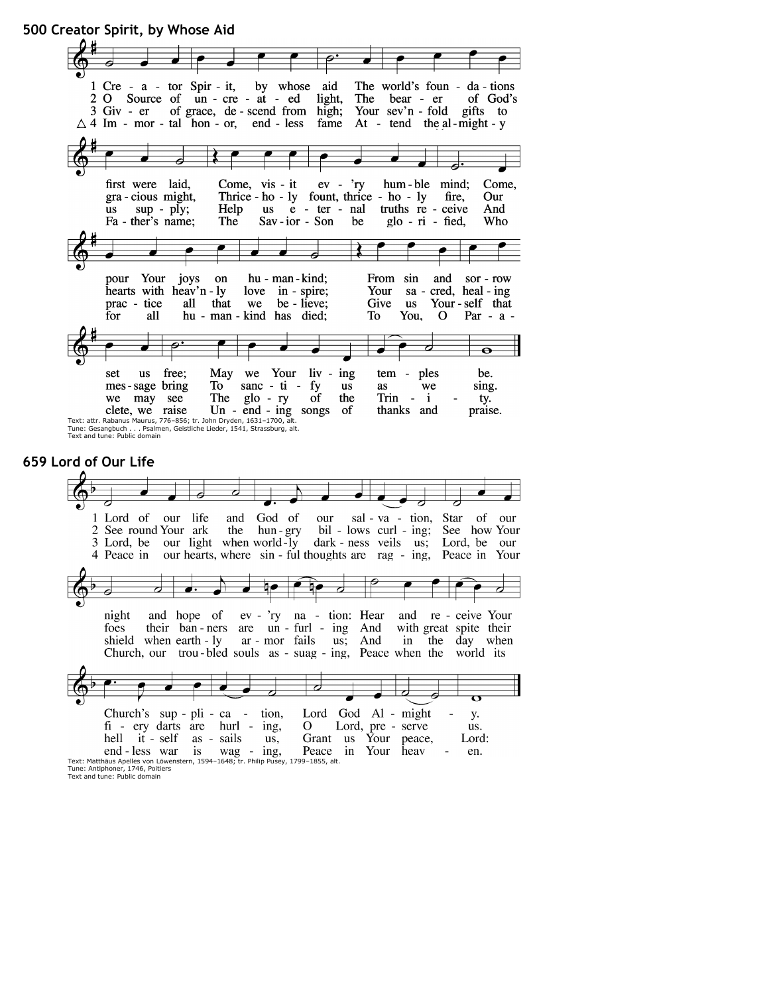**500 Creator Spirit, by Whose Aid**



#### **659 Lord of Our Life**

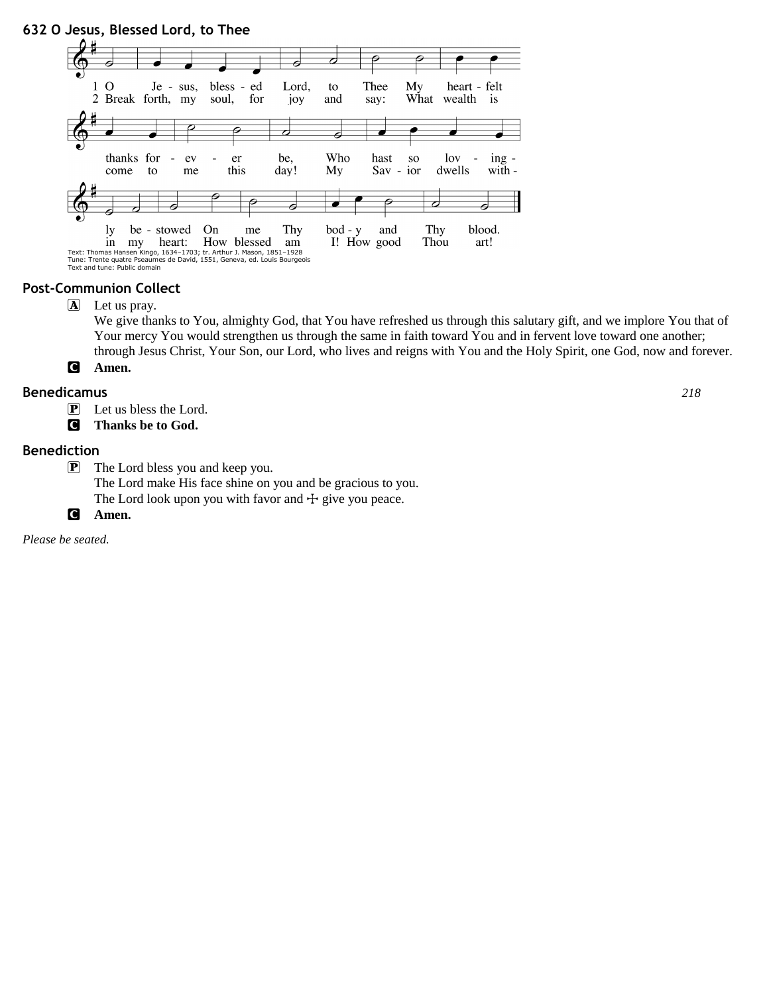

#### **Post-Communion Collect**

A Let us pray.

We give thanks to You, almighty God, that You have refreshed us through this salutary gift, and we implore You that of Your mercy You would strengthen us through the same in faith toward You and in fervent love toward one another; through Jesus Christ, Your Son, our Lord, who lives and reigns with You and the Holy Spirit, one God, now and forever. C **Amen.**

# **Benedicamus** *218*

- P Let us bless the Lord.
- C **Thanks be to God.**

#### **Benediction**

- P The Lord bless you and keep you.
	- The Lord make His face shine on you and be gracious to you.
	- The Lord look upon you with favor and  $\pm$  give you peace.
- C **Amen.**

*Please be seated.*